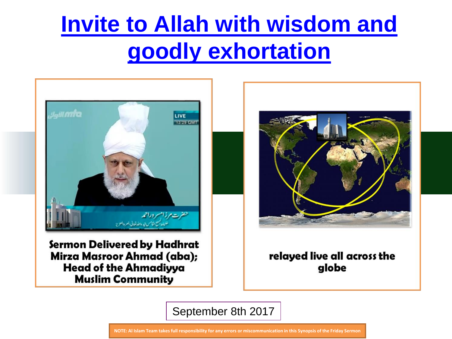

Sermon Delivered by Hadhrat Mirza Masroor Ahmad (aba); **Head of the Ahmadiyya Muslim Community** 



relayed live all across the globe

September 8th 2017

**NOTE: Al Islam Team takes full responsibility for any errors or miscommunication in this Synopsis of the Friday Sermon**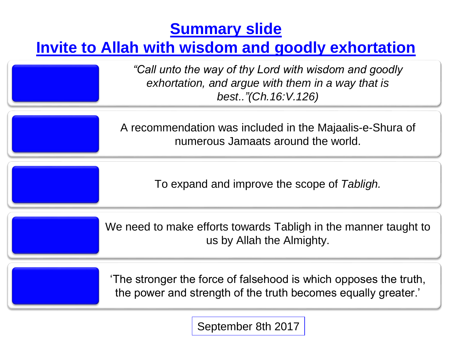## **Summary slide**

## **Invite to Allah with wisdom and goodly exhortation**

*"Call unto the way of thy Lord with wisdom and goodly exhortation, and argue with them in a way that is best.."(Ch.16:V.126)*

A recommendation was included in the Majaalis-e-Shura of numerous Jamaats around the world.

To expand and improve the scope of *Tabligh.*

We need to make efforts towards Tabligh in the manner taught to us by Allah the Almighty.

'The stronger the force of falsehood is which opposes the truth, the power and strength of the truth becomes equally greater.'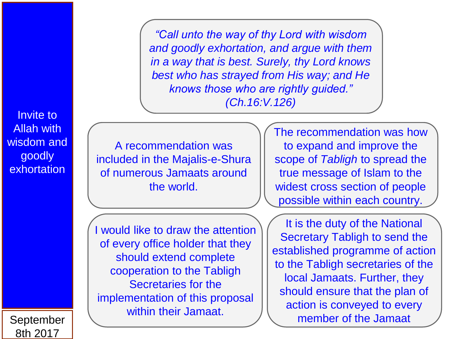*"Call unto the way of thy Lord with wisdom and goodly exhortation, and argue with them in a way that is best. Surely, thy Lord knows best who has strayed from His way; and He knows those who are rightly guided." (Ch.16:V.126)*

A recommendation was included in the Majalis-e-Shura of numerous Jamaats around the world.

The recommendation was how to expand and improve the scope of *Tabligh* to spread the true message of Islam to the widest cross section of people possible within each country.

I would like to draw the attention of every office holder that they should extend complete cooperation to the Tabligh Secretaries for the implementation of this proposal within their Jamaat.

It is the duty of the National Secretary Tabligh to send the established programme of action to the Tabligh secretaries of the local Jamaats. Further, they should ensure that the plan of action is conveyed to every member of the Jamaat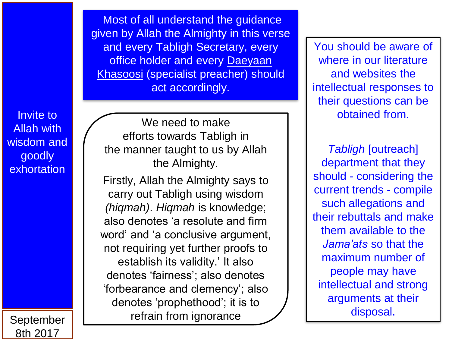Most of all understand the guidance given by Allah the Almighty in this verse and every Tabligh Secretary, every office holder and every Daeyaan Khasoosi (specialist preacher) should act accordingly.

Invite to Allah with wisdom and goodly **exhortation** 

September 8th 2017

We need to make efforts towards Tabligh in the manner taught to us by Allah the Almighty.

Firstly, Allah the Almighty says to carry out Tabligh using wisdom *(hiqmah)*. *Hiqmah* is knowledge; also denotes 'a resolute and firm word' and 'a conclusive argument, not requiring yet further proofs to establish its validity.' It also denotes 'fairness'; also denotes 'forbearance and clemency'; also denotes 'prophethood'; it is to refrain from ignorance

You should be aware of where in our literature and websites the intellectual responses to their questions can be obtained from.

*Tabligh* [outreach] department that they should - considering the current trends - compile such allegations and their rebuttals and make them available to the *Jama'ats* so that the maximum number of people may have intellectual and strong arguments at their disposal.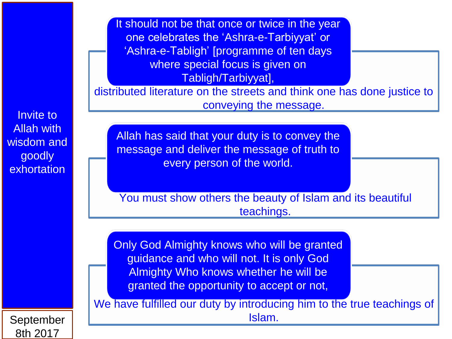It should not be that once or twice in the year one celebrates the 'Ashra-e-Tarbiyyat' or 'Ashra-e-Tabligh' [programme of ten days where special focus is given on Tabligh/Tarbiyyat],

distributed literature on the streets and think one has done justice to conveying the message.

Invite to Allah with wisdom and goodly **exhortation** 

Allah has said that your duty is to convey the message and deliver the message of truth to every person of the world.

You must show others the beauty of Islam and its beautiful teachings.

Only God Almighty knows who will be granted guidance and who will not. It is only God Almighty Who knows whether he will be granted the opportunity to accept or not,

We have fulfilled our duty by introducing him to the true teachings of Islam.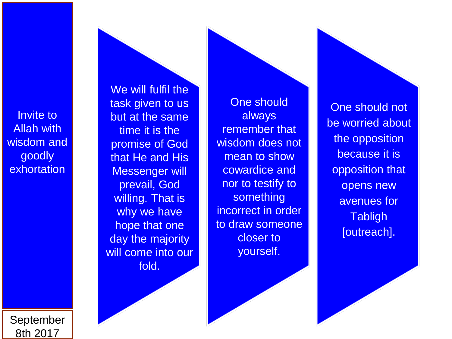We will fulfil the task given to us but at the same time it is the promise of God that He and His Messenger will prevail, God willing. That is why we have hope that one day the majority will come into our fold.

One should always remember that wisdom does not mean to show cowardice and nor to testify to something incorrect in order to draw someone closer to yourself.

One should not be worried about the opposition because it is opposition that opens new avenues for **Tabligh** [outreach].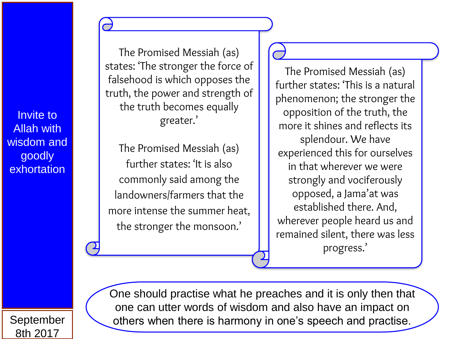The Promised Messiah (as) states: 'The stronger the force of falsehood is which opposes the truth, the power and strength of the truth becomes equally greater.'

The Promised Messiah (as) further states: 'It is also commonly said among the landowners/farmers that the more intense the summer heat, the stronger the monsoon.'

The Promised Messiah (as) further states: 'This is a natural phenomenon; the stronger the opposition of the truth, the more it shines and reflects its splendour. We have experienced this for ourselves in that wherever we were strongly and vociferously opposed, a Jama'at was established there. And, wherever people heard us and remained silent, there was less progress.'

September 8th 2017

One should practise what he preaches and it is only then that one can utter words of wisdom and also have an impact on others when there is harmony in one's speech and practise.